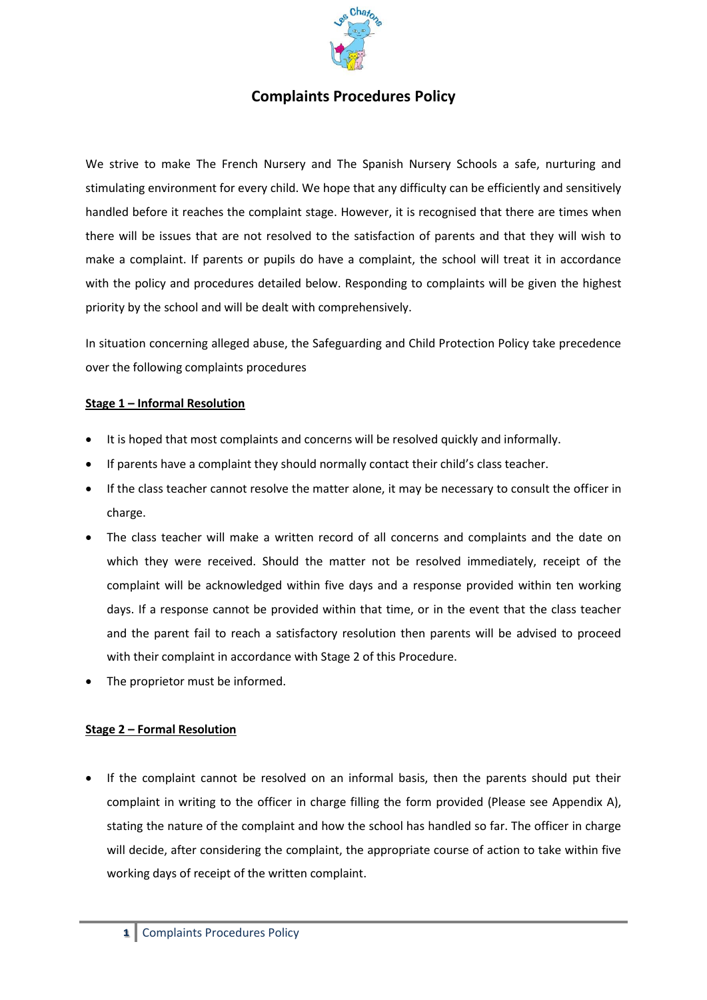

# **Complaints Procedures Policy**

We strive to make The French Nursery and The Spanish Nursery Schools a safe, nurturing and stimulating environment for every child. We hope that any difficulty can be efficiently and sensitively handled before it reaches the complaint stage. However, it is recognised that there are times when there will be issues that are not resolved to the satisfaction of parents and that they will wish to make a complaint. If parents or pupils do have a complaint, the school will treat it in accordance with the policy and procedures detailed below. Responding to complaints will be given the highest priority by the school and will be dealt with comprehensively.

In situation concerning alleged abuse, the Safeguarding and Child Protection Policy take precedence over the following complaints procedures

#### **Stage 1 – Informal Resolution**

- It is hoped that most complaints and concerns will be resolved quickly and informally.
- If parents have a complaint they should normally contact their child's class teacher.
- If the class teacher cannot resolve the matter alone, it may be necessary to consult the officer in charge.
- The class teacher will make a written record of all concerns and complaints and the date on which they were received. Should the matter not be resolved immediately, receipt of the complaint will be acknowledged within five days and a response provided within ten working days. If a response cannot be provided within that time, or in the event that the class teacher and the parent fail to reach a satisfactory resolution then parents will be advised to proceed with their complaint in accordance with Stage 2 of this Procedure.
- The proprietor must be informed.

#### **Stage 2 – Formal Resolution**

 If the complaint cannot be resolved on an informal basis, then the parents should put their complaint in writing to the officer in charge filling the form provided (Please see Appendix A), stating the nature of the complaint and how the school has handled so far. The officer in charge will decide, after considering the complaint, the appropriate course of action to take within five working days of receipt of the written complaint.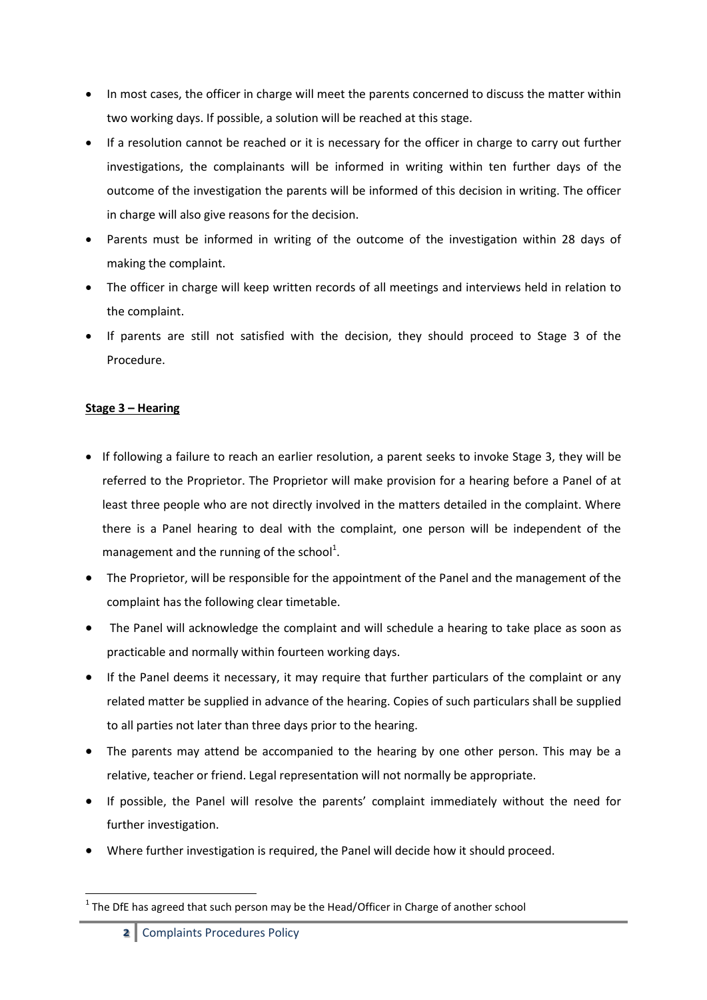- In most cases, the officer in charge will meet the parents concerned to discuss the matter within two working days. If possible, a solution will be reached at this stage.
- If a resolution cannot be reached or it is necessary for the officer in charge to carry out further investigations, the complainants will be informed in writing within ten further days of the outcome of the investigation the parents will be informed of this decision in writing. The officer in charge will also give reasons for the decision.
- Parents must be informed in writing of the outcome of the investigation within 28 days of making the complaint.
- The officer in charge will keep written records of all meetings and interviews held in relation to the complaint.
- If parents are still not satisfied with the decision, they should proceed to Stage 3 of the Procedure.

## **Stage 3 – Hearing**

- If following a failure to reach an earlier resolution, a parent seeks to invoke Stage 3, they will be referred to the Proprietor. The Proprietor will make provision for a hearing before a Panel of at least three people who are not directly involved in the matters detailed in the complaint. Where there is a Panel hearing to deal with the complaint, one person will be independent of the management and the running of the school<sup>1</sup>.
- The Proprietor, will be responsible for the appointment of the Panel and the management of the complaint has the following clear timetable.
- The Panel will acknowledge the complaint and will schedule a hearing to take place as soon as practicable and normally within fourteen working days.
- If the Panel deems it necessary, it may require that further particulars of the complaint or any related matter be supplied in advance of the hearing. Copies of such particulars shall be supplied to all parties not later than three days prior to the hearing.
- The parents may attend be accompanied to the hearing by one other person. This may be a relative, teacher or friend. Legal representation will not normally be appropriate.
- If possible, the Panel will resolve the parents' complaint immediately without the need for further investigation.
- Where further investigation is required, the Panel will decide how it should proceed.

**<sup>.</sup>**  $<sup>1</sup>$  The DfE has agreed that such person may be the Head/Officer in Charge of another school</sup>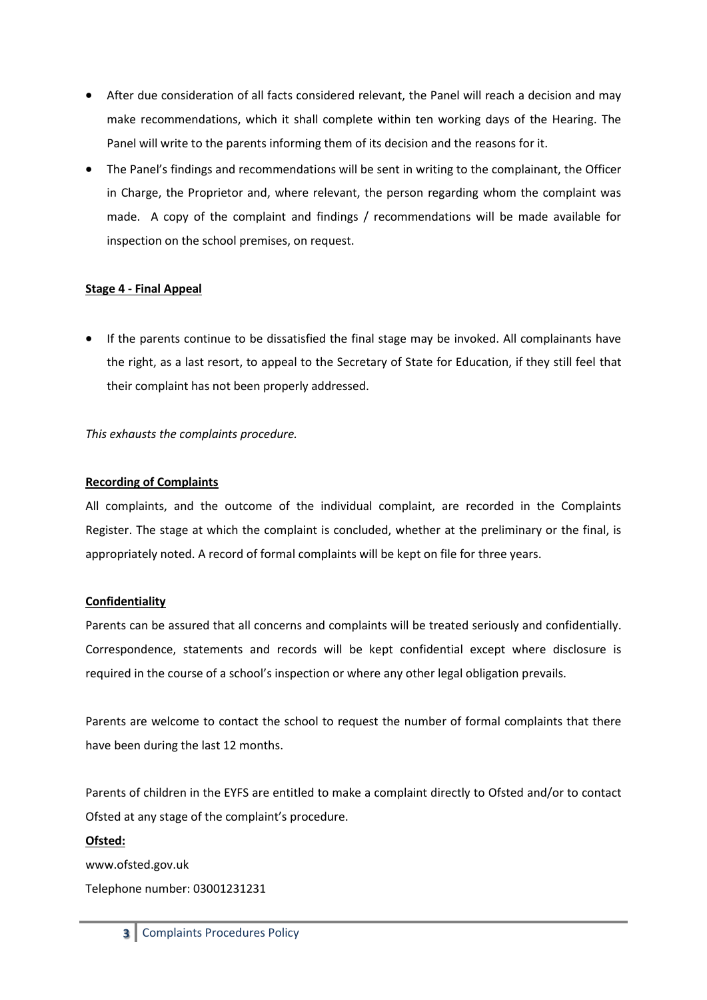- After due consideration of all facts considered relevant, the Panel will reach a decision and may make recommendations, which it shall complete within ten working days of the Hearing. The Panel will write to the parents informing them of its decision and the reasons for it.
- The Panel's findings and recommendations will be sent in writing to the complainant, the Officer in Charge, the Proprietor and, where relevant, the person regarding whom the complaint was made. A copy of the complaint and findings / recommendations will be made available for inspection on the school premises, on request.

## **Stage 4 - Final Appeal**

• If the parents continue to be dissatisfied the final stage may be invoked. All complainants have the right, as a last resort, to appeal to the Secretary of State for Education, if they still feel that their complaint has not been properly addressed.

## *This exhausts the complaints procedure.*

## **Recording of Complaints**

All complaints, and the outcome of the individual complaint, are recorded in the Complaints Register. The stage at which the complaint is concluded, whether at the preliminary or the final, is appropriately noted. A record of formal complaints will be kept on file for three years.

## **Confidentiality**

Parents can be assured that all concerns and complaints will be treated seriously and confidentially. Correspondence, statements and records will be kept confidential except where disclosure is required in the course of a school's inspection or where any other legal obligation prevails.

Parents are welcome to contact the school to request the number of formal complaints that there have been during the last 12 months.

Parents of children in the EYFS are entitled to make a complaint directly to Ofsted and/or to contact Ofsted at any stage of the complaint's procedure.

## **Ofsted:**

www.ofsted.gov.uk Telephone number: 03001231231